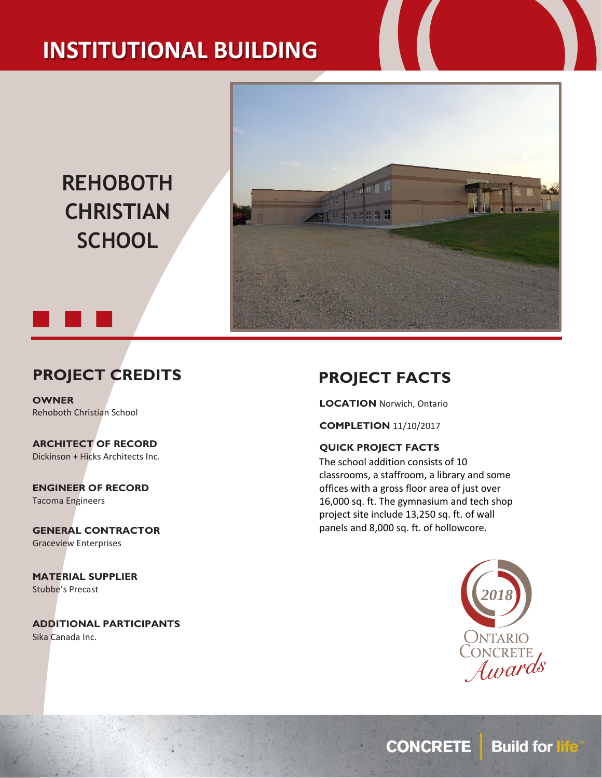# **INSTITUTIONAL BUILDING**

**REHOBOTH CHRISTIAN SCHOOL**



## **PROJECT CREDITS**

**OWNER** Rehoboth Christian School

**ARCHITECT OF RECORD** Dickinson + Hicks Architects Inc.

**ENGINEER OF RECORD** Tacoma Engineers

**GENERAL CONTRACTOR** Graceview Enterprises

**MATERIAL SUPPLIER** Stubbe's Precast

**ADDITIONAL PARTICIPANTS** Sika Canada Inc.

### **PROJECT FACTS**

**LOCATION** Norwich, Ontario

**COMPLETION** 11/10/2017

#### **QUICK PROJECT FACTS**

The school addition consists of 10 classrooms, a staffroom, a library and some offices with a gross floor area of just over 16,000 sq. ft. The gymnasium and tech shop project site include 13,250 sq. ft. of wall panels and 8,000 sq. ft. of hollowcore.



**CONCRETE** Build for life®